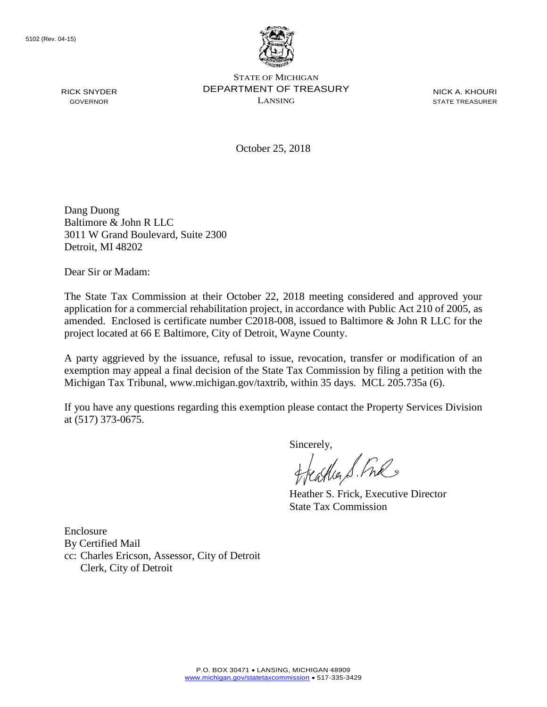RICK SNYDER GOVERNOR



STATE OF MICHIGAN DEPARTMENT OF TREASURY LANSING

NICK A. KHOURI STATE TREASURER

October 25, 2018

Dang Duong Baltimore & John R LLC 3011 W Grand Boulevard, Suite 2300 Detroit, MI 48202

Dear Sir or Madam:

The State Tax Commission at their October 22, 2018 meeting considered and approved your application for a commercial rehabilitation project, in accordance with Public Act 210 of 2005, as amended. Enclosed is certificate number C2018-008, issued to Baltimore & John R LLC for the project located at 66 E Baltimore, City of Detroit, Wayne County.

A party aggrieved by the issuance, refusal to issue, revocation, transfer or modification of an exemption may appeal a final decision of the State Tax Commission by filing a petition with the Michigan Tax Tribunal, www.michigan.gov/taxtrib, within 35 days. MCL 205.735a (6).

If you have any questions regarding this exemption please contact the Property Services Division at (517) 373-0675.

Sincerely,

Heather S. Fre

Heather S. Frick, Executive Director State Tax Commission

Enclosure By Certified Mail cc: Charles Ericson, Assessor, City of Detroit Clerk, City of Detroit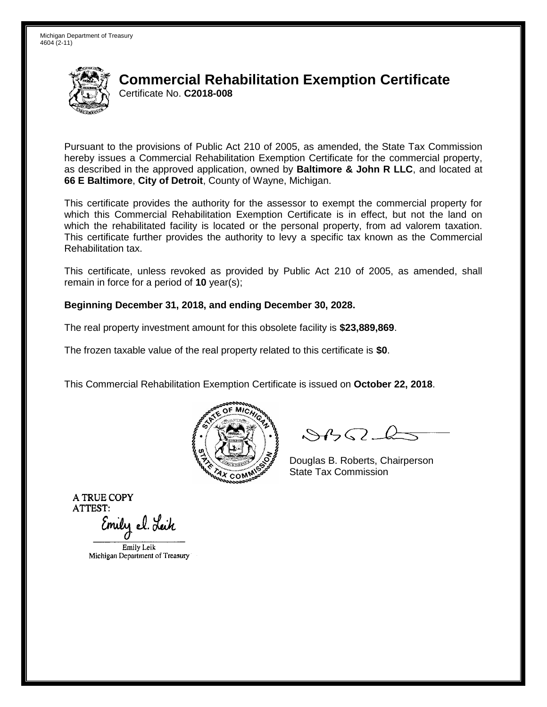

# **Commercial Rehabilitation Exemption Certificate** Certificate No. **C2018-008**

Pursuant to the provisions of Public Act 210 of 2005, as amended, the State Tax Commission hereby issues a Commercial Rehabilitation Exemption Certificate for the commercial property, as described in the approved application, owned by **Baltimore & John R LLC**, and located at **66 E Baltimore**, **City of Detroit**, County of Wayne, Michigan.

This certificate provides the authority for the assessor to exempt the commercial property for which this Commercial Rehabilitation Exemption Certificate is in effect, but not the land on which the rehabilitated facility is located or the personal property, from ad valorem taxation. This certificate further provides the authority to levy a specific tax known as the Commercial Rehabilitation tax.

This certificate, unless revoked as provided by Public Act 210 of 2005, as amended, shall remain in force for a period of **10** year(s);

### **Beginning December 31, 2018, and ending December 30, 2028.**

The real property investment amount for this obsolete facility is **\$23,889,869**.

The frozen taxable value of the real property related to this certificate is **\$0**.

This Commercial Rehabilitation Exemption Certificate is issued on **October 22, 2018**.



 $84562-6$ 

Douglas B. Roberts, Chairperson State Tax Commission

**A TRUE COPY ATTEST:** 

Emily el. Leik

Emily Leik Michigan Department of Treasury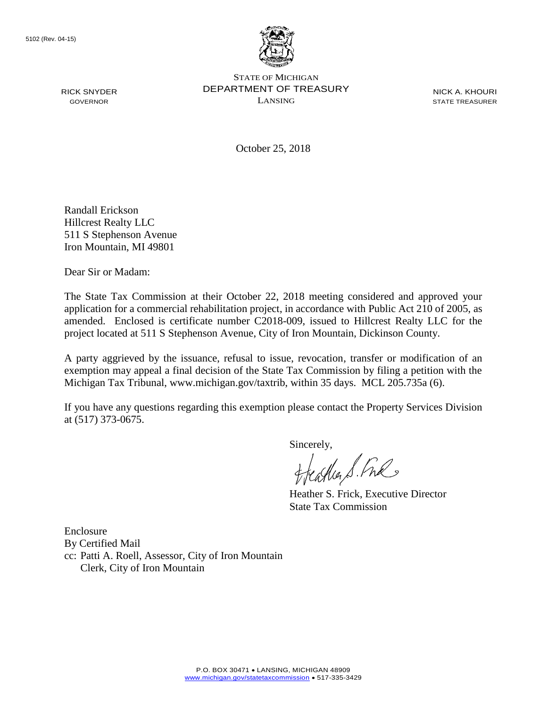RICK SNYDER GOVERNOR



STATE OF MICHIGAN DEPARTMENT OF TREASURY LANSING

NICK A. KHOURI STATE TREASURER

October 25, 2018

Randall Erickson Hillcrest Realty LLC 511 S Stephenson Avenue Iron Mountain, MI 49801

Dear Sir or Madam:

The State Tax Commission at their October 22, 2018 meeting considered and approved your application for a commercial rehabilitation project, in accordance with Public Act 210 of 2005, as amended. Enclosed is certificate number C2018-009, issued to Hillcrest Realty LLC for the project located at 511 S Stephenson Avenue, City of Iron Mountain, Dickinson County.

A party aggrieved by the issuance, refusal to issue, revocation, transfer or modification of an exemption may appeal a final decision of the State Tax Commission by filing a petition with the Michigan Tax Tribunal, www.michigan.gov/taxtrib, within 35 days. MCL 205.735a (6).

If you have any questions regarding this exemption please contact the Property Services Division at (517) 373-0675.

Sincerely,<br>freasther S. Free

Heather S. Frick, Executive Director State Tax Commission

Enclosure By Certified Mail cc: Patti A. Roell, Assessor, City of Iron Mountain Clerk, City of Iron Mountain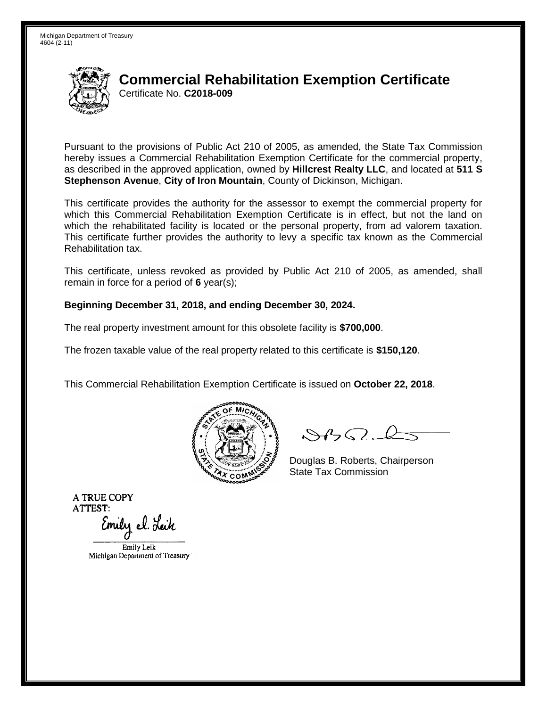

# **Commercial Rehabilitation Exemption Certificate** Certificate No. **C2018-009**

Pursuant to the provisions of Public Act 210 of 2005, as amended, the State Tax Commission hereby issues a Commercial Rehabilitation Exemption Certificate for the commercial property, as described in the approved application, owned by **Hillcrest Realty LLC**, and located at **511 S Stephenson Avenue**, **City of Iron Mountain**, County of Dickinson, Michigan.

This certificate provides the authority for the assessor to exempt the commercial property for which this Commercial Rehabilitation Exemption Certificate is in effect, but not the land on which the rehabilitated facility is located or the personal property, from ad valorem taxation. This certificate further provides the authority to levy a specific tax known as the Commercial Rehabilitation tax.

This certificate, unless revoked as provided by Public Act 210 of 2005, as amended, shall remain in force for a period of **6** year(s);

### **Beginning December 31, 2018, and ending December 30, 2024.**

The real property investment amount for this obsolete facility is **\$700,000**.

The frozen taxable value of the real property related to this certificate is **\$150,120**.

This Commercial Rehabilitation Exemption Certificate is issued on **October 22, 2018**.



 $84562-6$ 

Douglas B. Roberts, Chairperson State Tax Commission

**A TRUE COPY ATTEST:** 

Emily el. Leik

Emily Leik Michigan Department of Treasury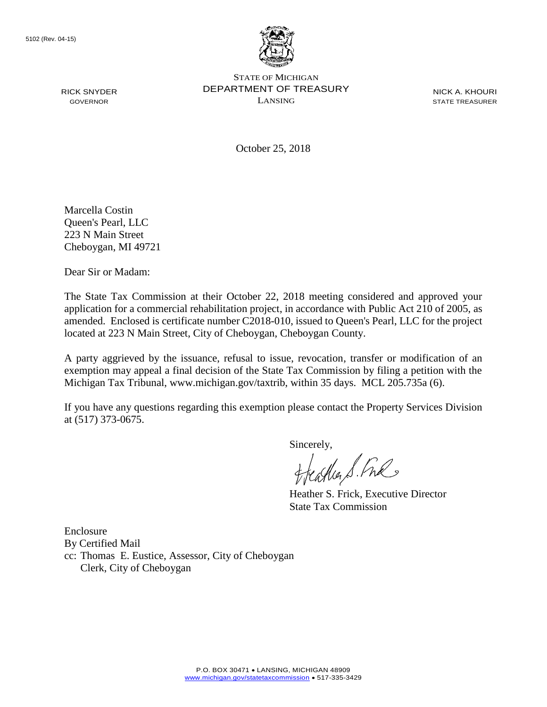RICK SNYDER GOVERNOR



STATE OF MICHIGAN DEPARTMENT OF TREASURY LANSING

NICK A. KHOURI STATE TREASURER

October 25, 2018

Marcella Costin Queen's Pearl, LLC 223 N Main Street Cheboygan, MI 49721

Dear Sir or Madam:

The State Tax Commission at their October 22, 2018 meeting considered and approved your application for a commercial rehabilitation project, in accordance with Public Act 210 of 2005, as amended. Enclosed is certificate number C2018-010, issued to Queen's Pearl, LLC for the project located at 223 N Main Street, City of Cheboygan, Cheboygan County.

A party aggrieved by the issuance, refusal to issue, revocation, transfer or modification of an exemption may appeal a final decision of the State Tax Commission by filing a petition with the Michigan Tax Tribunal, www.michigan.gov/taxtrib, within 35 days. MCL 205.735a (6).

If you have any questions regarding this exemption please contact the Property Services Division at (517) 373-0675.

Sincerely,

Heather S. Fre

Heather S. Frick, Executive Director State Tax Commission

Enclosure By Certified Mail cc: Thomas E. Eustice, Assessor, City of Cheboygan Clerk, City of Cheboygan